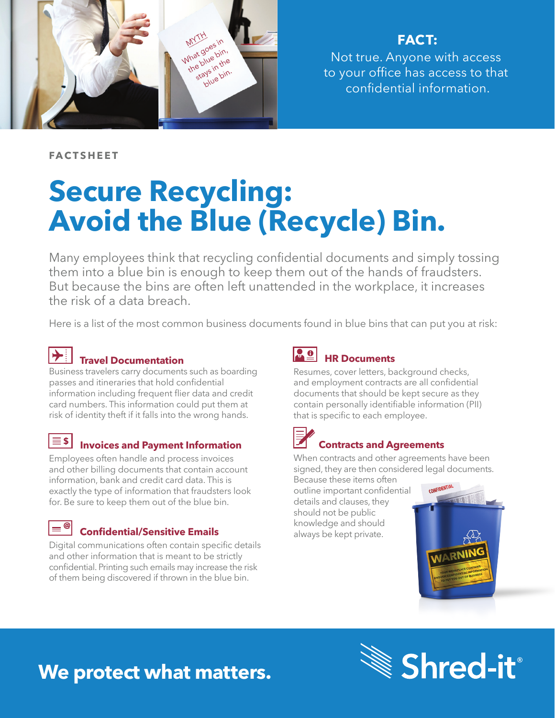

**FACT:**

Not true. Anyone with access to your office has access to that confidential information.

**FACTSHEET**

# **Secure Recycling: Avoid the Blue (Recycle) Bin.**

Many employees think that recycling confidential documents and simply tossing them into a blue bin is enough to keep them out of the hands of fraudsters. But because the bins are often left unattended in the workplace, it increases the risk of a data breach.

Here is a list of the most common business documents found in blue bins that can put you at risk:



### **Travel Documentation**

Business travelers carry documents such as boarding passes and itineraries that hold confidential information including frequent flier data and credit card numbers. This information could put them at risk of identity theft if it falls into the wrong hands.

### $\equiv$  \$

### **Invoices and Payment Information**

Employees often handle and process invoices and other billing documents that contain account information, bank and credit card data. This is exactly the type of information that fraudsters look for. Be sure to keep them out of the blue bin.

#### |≡® **Confidential/Sensitive Emails**

Digital communications often contain specific details and other information that is meant to be strictly confidential. Printing such emails may increase the risk of them being discovered if thrown in the blue bin.

### **HR Documents**

Resumes, cover letters, background checks, and employment contracts are all confidential documents that should be kept secure as they contain personally identifiable information (PII) that is specific to each employee.

### **Contracts and Agreements**

When contracts and other agreements have been signed, they are then considered legal documents.

Because these items often outline important confidential details and clauses, they should not be public knowledge and should always be kept private.



## **We protect what matters.**